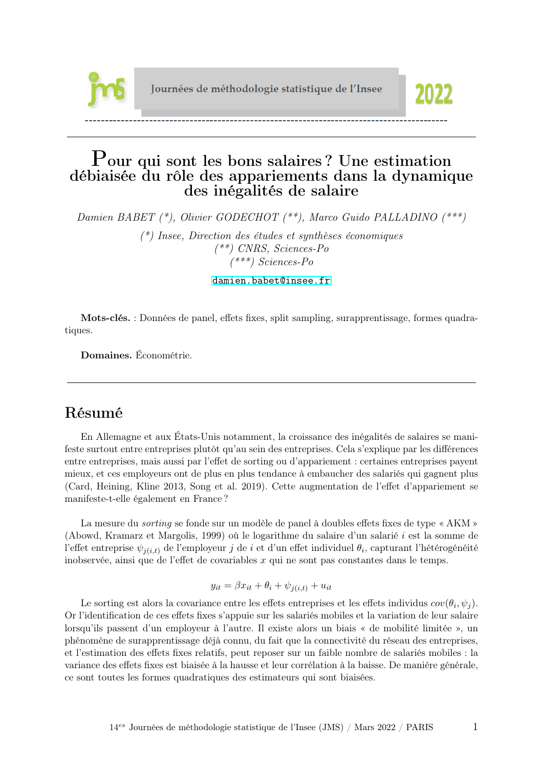

# Pour qui sont les bons salaires ? Une estimation débiaisée du rôle des appariements dans la dynamique des inégalités de salaire

Damien BABET (\*), Olivier GODECHOT (\*\*), Marco Guido PALLADINO (\*\*\*)

(\*) Insee, Direction des études et synthèses économiques  $(**)$  CNRS, Sciences-Po (\*\*\*) Sciences-Po

<damien.babet@insee.fr>

Mots-clés. : Données de panel, effets fixes, split sampling, surapprentissage, formes quadratiques.

Domaines. Économétrie.

# Résumé

En Allemagne et aux États-Unis notamment, la croissance des inégalités de salaires se manifeste surtout entre entreprises plutôt qu'au sein des entreprises. Cela s'explique par les différences entre entreprises, mais aussi par l'effet de sorting ou d'appariement : certaines entreprises payent mieux, et ces employeurs ont de plus en plus tendance à embaucher des salariés qui gagnent plus (Card, Heining, Kline 2013, Song et al. 2019). Cette augmentation de l'effet d'appariement se manifeste-t-elle également en France ?

La mesure du sorting se fonde sur un modèle de panel à doubles effets fixes de type « AKM » (Abowd, Kramarz et Margolis, 1999) où le logarithme du salaire d'un salarié i est la somme de l'effet entreprise  $\psi_{j(i,t)}$  de l'employeur  $j$  de  $i$  et d'un effet individuel  $\theta_i$ , capturant l'hétérogénéité inobservée, ainsi que de l'effet de covariables  $x$  qui ne sont pas constantes dans le temps.

$$
y_{it} = \beta x_{it} + \theta_i + \psi_{j(i,t)} + u_{it}
$$

Le sorting est alors la covariance entre les effets entreprises et les effets individus  $cov(\theta_i, \psi_j)$ . Or l'identification de ces effets fixes s'appuie sur les salariés mobiles et la variation de leur salaire lorsqu'ils passent d'un employeur à l'autre. Il existe alors un biais « de mobilité limitée », un phénomène de surapprentissage déjà connu, du fait que la connectivité du réseau des entreprises, et l'estimation des effets fixes relatifs, peut reposer sur un faible nombre de salariés mobiles : la variance des effets fixes est biaisée à la hausse et leur corrélation à la baisse. De manière générale, ce sont toutes les formes quadratiques des estimateurs qui sont biaisées.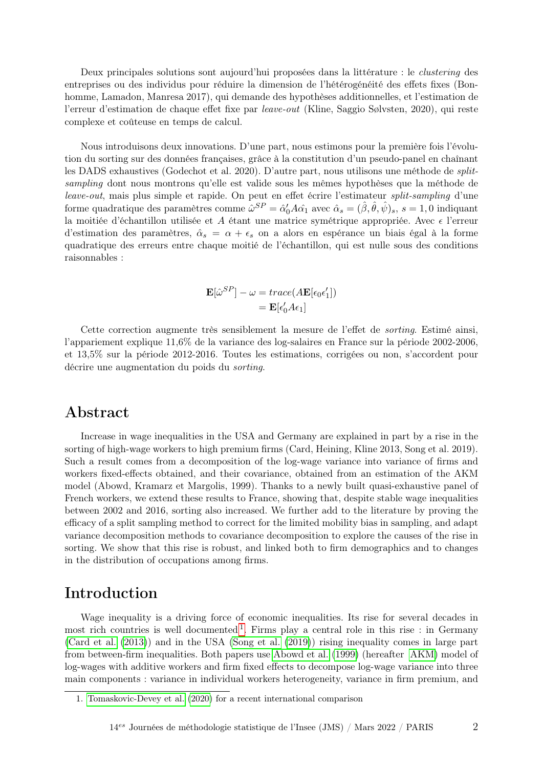Deux principales solutions sont aujourd'hui proposées dans la littérature : le clustering des entreprises ou des individus pour réduire la dimension de l'hétérogénéité des effets fixes (Bonhomme, Lamadon, Manresa 2017), qui demande des hypothèses additionnelles, et l'estimation de l'erreur d'estimation de chaque effet fixe par leave-out (Kline, Saggio Sølvsten, 2020), qui reste complexe et coûteuse en temps de calcul.

Nous introduisons deux innovations. D'une part, nous estimons pour la première fois l'évolution du sorting sur des données françaises, grâce à la constitution d'un pseudo-panel en chaînant les DADS exhaustives (Godechot et al. 2020). D'autre part, nous utilisons une méthode de splitsampling dont nous montrons qu'elle est valide sous les mêmes hypothèses que la méthode de leave-out, mais plus simple et rapide. On peut en effet écrire l'estimateur split-sampling d'une forme quadratique des paramètres comme  $\hat{\omega}^{SP} = \hat{\alpha}'_0 A \hat{\alpha_1}$  avec  $\hat{\alpha}_s = (\hat{\beta}, \hat{\theta}, \hat{\psi})_s$ ,  $s = 1, 0$  indiquant la moitiée d'échantillon utilisée et A étant une matrice symétrique appropriée. Avec  $\epsilon$  l'erreur d'estimation des paramètres,  $\hat{\alpha}_s = \alpha + \epsilon_s$  on a alors en espérance un biais égal à la forme quadratique des erreurs entre chaque moitié de l'échantillon, qui est nulle sous des conditions raisonnables :

$$
\mathbf{E}[\hat{\omega}^{SP}] - \omega = trace( A \mathbf{E}[\epsilon_0 \epsilon'_1])
$$

$$
= \mathbf{E}[\epsilon'_0 A \epsilon_1]
$$

Cette correction augmente très sensiblement la mesure de l'effet de sorting. Estimé ainsi, l'appariement explique 11,6% de la variance des log-salaires en France sur la période 2002-2006, et 13,5% sur la période 2012-2016. Toutes les estimations, corrigées ou non, s'accordent pour décrire une augmentation du poids du sorting.

## Abstract

Increase in wage inequalities in the USA and Germany are explained in part by a rise in the sorting of high-wage workers to high premium firms (Card, Heining, Kline 2013, Song et al. 2019). Such a result comes from a decomposition of the log-wage variance into variance of firms and workers fixed-effects obtained, and their covariance, obtained from an estimation of the AKM model (Abowd, Kramarz et Margolis, 1999). Thanks to a newly built quasi-exhaustive panel of French workers, we extend these results to France, showing that, despite stable wage inequalities between 2002 and 2016, sorting also increased. We further add to the literature by proving the efficacy of a split sampling method to correct for the limited mobility bias in sampling, and adapt variance decomposition methods to covariance decomposition to explore the causes of the rise in sorting. We show that this rise is robust, and linked both to firm demographics and to changes in the distribution of occupations among firms.

# Introduction

Wage inequality is a driving force of economic inequalities. Its rise for several decades in most rich countries is well documented  $<sup>1</sup>$  $<sup>1</sup>$  $<sup>1</sup>$ . Firms play a central role in this rise : in Germany</sup> [\(Card et al.](#page-15-0) [\(2013\)](#page-15-0)) and in the USA [\(Song et al.](#page-16-0) [\(2019\)](#page-16-0)) rising inequality comes in large part from between-firm inequalities. Both papers use [Abowd et al.](#page-15-1) [\(1999\)](#page-15-1) (hereafter [AKM\)](#page-15-1) model of log-wages with additive workers and firm fixed effects to decompose log-wage variance into three main components : variance in individual workers heterogeneity, variance in firm premium, and

<span id="page-1-0"></span><sup>1.</sup> [Tomaskovic-Devey et al.](#page-16-1) [\(2020\)](#page-16-1) for a recent international comparison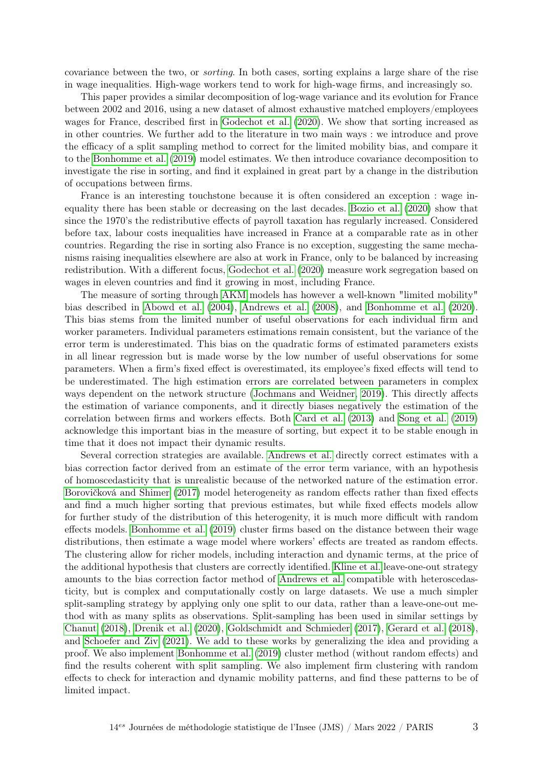covariance between the two, or sorting. In both cases, sorting explains a large share of the rise in wage inequalities. High-wage workers tend to work for high-wage firms, and increasingly so.

This paper provides a similar decomposition of log-wage variance and its evolution for France between 2002 and 2016, using a new dataset of almost exhaustive matched employers/employees wages for France, described first in [Godechot et al.](#page-16-2) [\(2020\)](#page-16-2). We show that sorting increased as in other countries. We further add to the literature in two main ways : we introduce and prove the efficacy of a split sampling method to correct for the limited mobility bias, and compare it to the [Bonhomme et al.](#page-15-2) [\(2019\)](#page-15-2) model estimates. We then introduce covariance decomposition to investigate the rise in sorting, and find it explained in great part by a change in the distribution of occupations between firms.

France is an interesting touchstone because it is often considered an exception : wage inequality there has been stable or decreasing on the last decades. [Bozio et al.](#page-15-3) [\(2020\)](#page-15-3) show that since the 1970's the redistributive effects of payroll taxation has regularly increased. Considered before tax, labour costs inequalities have increased in France at a comparable rate as in other countries. Regarding the rise in sorting also France is no exception, suggesting the same mechanisms raising inequalities elsewhere are also at work in France, only to be balanced by increasing redistribution. With a different focus, [Godechot et al.](#page-16-2) [\(2020\)](#page-16-2) measure work segregation based on wages in eleven countries and find it growing in most, including France.

The measure of sorting through [AKM](#page-15-1) models has however a well-known "limited mobility" bias described in [Abowd et al.](#page-15-4) [\(2004\)](#page-15-4), [Andrews et al.](#page-15-5) [\(2008\)](#page-15-5), and [Bonhomme et al.](#page-15-6) [\(2020\)](#page-15-6). This bias stems from the limited number of useful observations for each individual firm and worker parameters. Individual parameters estimations remain consistent, but the variance of the error term is underestimated. This bias on the quadratic forms of estimated parameters exists in all linear regression but is made worse by the low number of useful observations for some parameters. When a firm's fixed effect is overestimated, its employee's fixed effects will tend to be underestimated. The high estimation errors are correlated between parameters in complex ways dependent on the network structure [\(Jochmans and Weidner, 2019\)](#page-16-3). This directly affects the estimation of variance components, and it directly biases negatively the estimation of the correlation between firms and workers effects. Both [Card et al.](#page-15-0) [\(2013\)](#page-15-0) and [Song et al.](#page-16-0) [\(2019\)](#page-16-0) acknowledge this important bias in the measure of sorting, but expect it to be stable enough in time that it does not impact their dynamic results.

Several correction strategies are available. [Andrews et al.](#page-15-5) directly correct estimates with a bias correction factor derived from an estimate of the error term variance, with an hypothesis of homoscedasticity that is unrealistic because of the networked nature of the estimation error. [Borovičková and Shimer](#page-15-7) [\(2017\)](#page-15-7) model heterogeneity as random effects rather than fixed effects and find a much higher sorting that previous estimates, but while fixed effects models allow for further study of the distribution of this heterogenity, it is much more difficult with random effects models. [Bonhomme et al.](#page-15-2) [\(2019\)](#page-15-2) cluster firms based on the distance between their wage distributions, then estimate a wage model where workers' effects are treated as random effects. The clustering allow for richer models, including interaction and dynamic terms, at the price of the additional hypothesis that clusters are correctly identified. [Kline et al.](#page-16-4) leave-one-out strategy amounts to the bias correction factor method of [Andrews et al.](#page-15-5) compatible with heteroscedasticity, but is complex and computationally costly on large datasets. We use a much simpler split-sampling strategy by applying only one split to our data, rather than a leave-one-out method with as many splits as observations. Split-sampling has been used in similar settings by [Chanut](#page-15-8) [\(2018\)](#page-15-8), [Drenik et al.](#page-16-5) [\(2020\)](#page-16-5), [Goldschmidt and Schmieder](#page-16-6) [\(2017\)](#page-16-6), [Gerard et al.](#page-16-7) [\(2018\)](#page-16-7), and [Schoefer and Ziv](#page-16-8) [\(2021\)](#page-16-8). We add to these works by generalizing the idea and providing a proof. We also implement [Bonhomme et al.](#page-15-2) [\(2019\)](#page-15-2) cluster method (without random effects) and find the results coherent with split sampling. We also implement firm clustering with random effects to check for interaction and dynamic mobility patterns, and find these patterns to be of limited impact.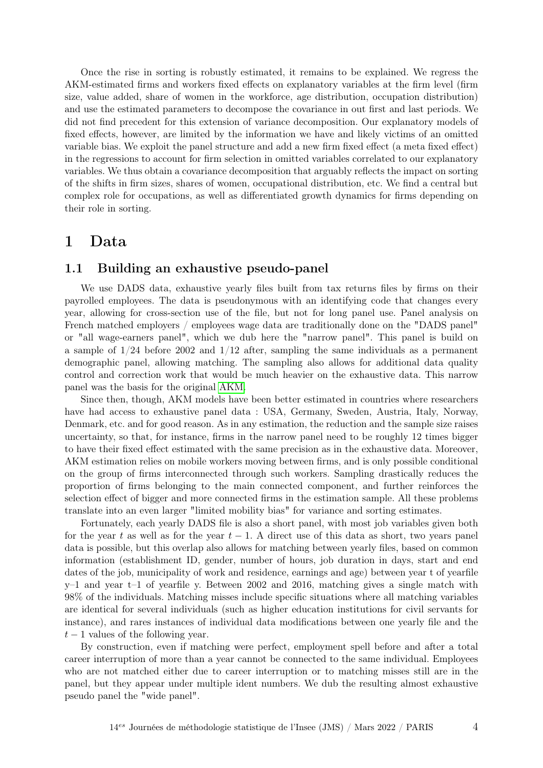Once the rise in sorting is robustly estimated, it remains to be explained. We regress the AKM-estimated firms and workers fixed effects on explanatory variables at the firm level (firm size, value added, share of women in the workforce, age distribution, occupation distribution) and use the estimated parameters to decompose the covariance in out first and last periods. We did not find precedent for this extension of variance decomposition. Our explanatory models of fixed effects, however, are limited by the information we have and likely victims of an omitted variable bias. We exploit the panel structure and add a new firm fixed effect (a meta fixed effect) in the regressions to account for firm selection in omitted variables correlated to our explanatory variables. We thus obtain a covariance decomposition that arguably reflects the impact on sorting of the shifts in firm sizes, shares of women, occupational distribution, etc. We find a central but complex role for occupations, as well as differentiated growth dynamics for firms depending on their role in sorting.

## 1 Data

#### 1.1 Building an exhaustive pseudo-panel

We use DADS data, exhaustive yearly files built from tax returns files by firms on their payrolled employees. The data is pseudonymous with an identifying code that changes every year, allowing for cross-section use of the file, but not for long panel use. Panel analysis on French matched employers / employees wage data are traditionally done on the "DADS panel" or "all wage-earners panel", which we dub here the "narrow panel". This panel is build on a sample of  $1/24$  before 2002 and  $1/12$  after, sampling the same individuals as a permanent demographic panel, allowing matching. The sampling also allows for additional data quality control and correction work that would be much heavier on the exhaustive data. This narrow panel was the basis for the original [AKM.](#page-15-1)

Since then, though, AKM models have been better estimated in countries where researchers have had access to exhaustive panel data : USA, Germany, Sweden, Austria, Italy, Norway, Denmark, etc. and for good reason. As in any estimation, the reduction and the sample size raises uncertainty, so that, for instance, firms in the narrow panel need to be roughly 12 times bigger to have their fixed effect estimated with the same precision as in the exhaustive data. Moreover, AKM estimation relies on mobile workers moving between firms, and is only possible conditional on the group of firms interconnected through such workers. Sampling drastically reduces the proportion of firms belonging to the main connected component, and further reinforces the selection effect of bigger and more connected firms in the estimation sample. All these problems translate into an even larger "limited mobility bias" for variance and sorting estimates.

Fortunately, each yearly DADS file is also a short panel, with most job variables given both for the year t as well as for the year  $t-1$ . A direct use of this data as short, two years panel data is possible, but this overlap also allows for matching between yearly files, based on common information (establishment ID, gender, number of hours, job duration in days, start and end dates of the job, municipality of work and residence, earnings and age) between year t of yearfile  $y-1$  and year t–1 of yearfile y. Between 2002 and 2016, matching gives a single match with 98% of the individuals. Matching misses include specific situations where all matching variables are identical for several individuals (such as higher education institutions for civil servants for instance), and rares instances of individual data modifications between one yearly file and the  $t-1$  values of the following year.

By construction, even if matching were perfect, employment spell before and after a total career interruption of more than a year cannot be connected to the same individual. Employees who are not matched either due to career interruption or to matching misses still are in the panel, but they appear under multiple ident numbers. We dub the resulting almost exhaustive pseudo panel the "wide panel".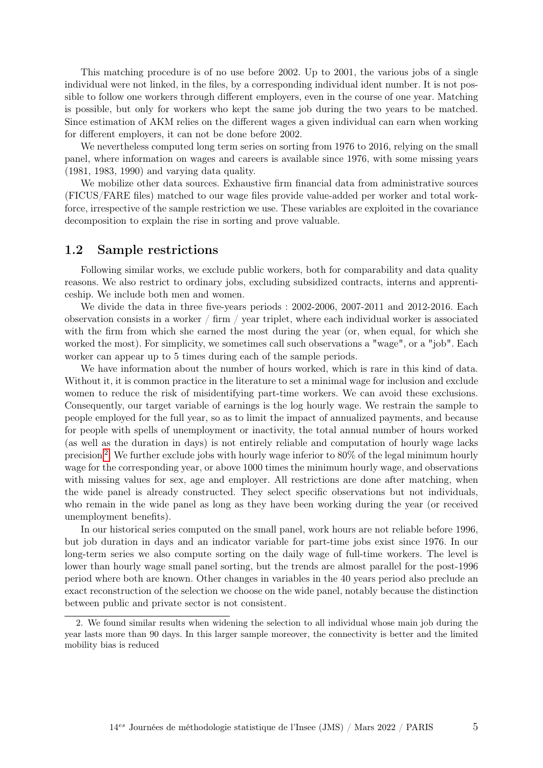This matching procedure is of no use before 2002. Up to 2001, the various jobs of a single individual were not linked, in the files, by a corresponding individual ident number. It is not possible to follow one workers through different employers, even in the course of one year. Matching is possible, but only for workers who kept the same job during the two years to be matched. Since estimation of AKM relies on the different wages a given individual can earn when working for different employers, it can not be done before 2002.

We nevertheless computed long term series on sorting from 1976 to 2016, relying on the small panel, where information on wages and careers is available since 1976, with some missing years (1981, 1983, 1990) and varying data quality.

We mobilize other data sources. Exhaustive firm financial data from administrative sources (FICUS/FARE files) matched to our wage files provide value-added per worker and total workforce, irrespective of the sample restriction we use. These variables are exploited in the covariance decomposition to explain the rise in sorting and prove valuable.

### 1.2 Sample restrictions

Following similar works, we exclude public workers, both for comparability and data quality reasons. We also restrict to ordinary jobs, excluding subsidized contracts, interns and apprenticeship. We include both men and women.

We divide the data in three five-years periods : 2002-2006, 2007-2011 and 2012-2016. Each observation consists in a worker / firm / year triplet, where each individual worker is associated with the firm from which she earned the most during the year (or, when equal, for which she worked the most). For simplicity, we sometimes call such observations a "wage", or a "job". Each worker can appear up to 5 times during each of the sample periods.

We have information about the number of hours worked, which is rare in this kind of data. Without it, it is common practice in the literature to set a minimal wage for inclusion and exclude women to reduce the risk of misidentifying part-time workers. We can avoid these exclusions. Consequently, our target variable of earnings is the log hourly wage. We restrain the sample to people employed for the full year, so as to limit the impact of annualized payments, and because for people with spells of unemployment or inactivity, the total annual number of hours worked (as well as the duration in days) is not entirely reliable and computation of hourly wage lacks precision<sup>[2](#page-4-0)</sup>. We further exclude jobs with hourly wage inferior to 80% of the legal minimum hourly wage for the corresponding year, or above 1000 times the minimum hourly wage, and observations with missing values for sex, age and employer. All restrictions are done after matching, when the wide panel is already constructed. They select specific observations but not individuals, who remain in the wide panel as long as they have been working during the year (or received unemployment benefits).

In our historical series computed on the small panel, work hours are not reliable before 1996, but job duration in days and an indicator variable for part-time jobs exist since 1976. In our long-term series we also compute sorting on the daily wage of full-time workers. The level is lower than hourly wage small panel sorting, but the trends are almost parallel for the post-1996 period where both are known. Other changes in variables in the 40 years period also preclude an exact reconstruction of the selection we choose on the wide panel, notably because the distinction between public and private sector is not consistent.

<span id="page-4-0"></span><sup>2.</sup> We found similar results when widening the selection to all individual whose main job during the year lasts more than 90 days. In this larger sample moreover, the connectivity is better and the limited mobility bias is reduced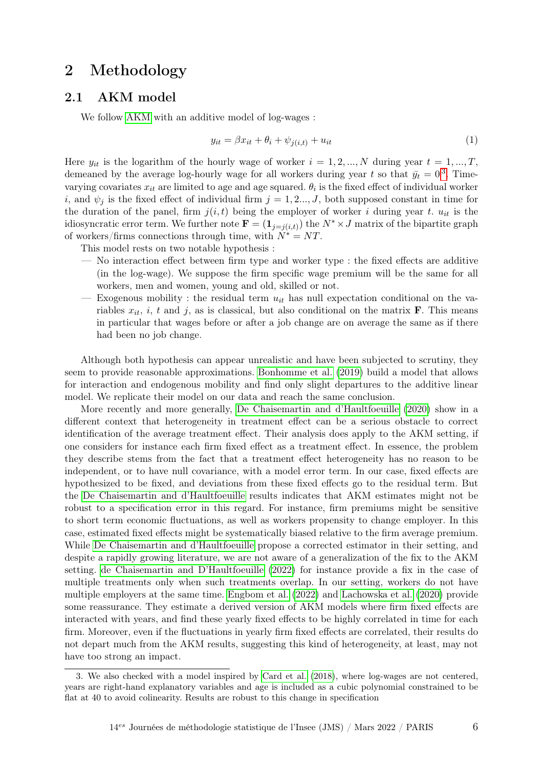# 2 Methodology

## 2.1 AKM model

We follow [AKM](#page-15-1) with an additive model of log-wages :

$$
y_{it} = \beta x_{it} + \theta_i + \psi_{j(i,t)} + u_{it}
$$
\n<sup>(1)</sup>

Here  $y_{it}$  is the logarithm of the hourly wage of worker  $i = 1, 2, ..., N$  during year  $t = 1, ..., T$ , demeaned by the average log-hourly wage for all workers during year t so that  $\bar{y}_t = 0^3$  $\bar{y}_t = 0^3$ . Timevarying covariates  $x_{it}$  are limited to age and age squared.  $\theta_i$  is the fixed effect of individual worker i, and  $\psi_i$  is the fixed effect of individual firm  $j = 1, 2..., J$ , both supposed constant in time for the duration of the panel, firm  $j(i, t)$  being the employer of worker i during year t.  $u_{it}$  is the idiosyncratic error term. We further note  $\mathbf{F} = (\mathbf{1}_{j=j(i,t)})$  the  $N^* \times J$  matrix of the bipartite graph of workers/firms connections through time, with  $N^* = NT$ .

This model rests on two notable hypothesis :

- No interaction effect between firm type and worker type : the fixed effects are additive (in the log-wage). We suppose the firm specific wage premium will be the same for all workers, men and women, young and old, skilled or not.
- Exogenous mobility : the residual term  $u_{it}$  has null expectation conditional on the variables  $x_{it}$ , i, t and j, as is classical, but also conditional on the matrix **F**. This means in particular that wages before or after a job change are on average the same as if there had been no job change.

Although both hypothesis can appear unrealistic and have been subjected to scrutiny, they seem to provide reasonable approximations. [Bonhomme et al.](#page-15-2) [\(2019\)](#page-15-2) build a model that allows for interaction and endogenous mobility and find only slight departures to the additive linear model. We replicate their model on our data and reach the same conclusion.

More recently and more generally, [De Chaisemartin and d'Haultfoeuille](#page-15-9) [\(2020\)](#page-15-9) show in a different context that heterogeneity in treatment effect can be a serious obstacle to correct identification of the average treatment effect. Their analysis does apply to the AKM setting, if one considers for instance each firm fixed effect as a treatment effect. In essence, the problem they describe stems from the fact that a treatment effect heterogeneity has no reason to be independent, or to have null covariance, with a model error term. In our case, fixed effects are hypothesized to be fixed, and deviations from these fixed effects go to the residual term. But the [De Chaisemartin and d'Haultfoeuille](#page-15-9) results indicates that AKM estimates might not be robust to a specification error in this regard. For instance, firm premiums might be sensitive to short term economic fluctuations, as well as workers propensity to change employer. In this case, estimated fixed effects might be systematically biased relative to the firm average premium. While [De Chaisemartin and d'Haultfoeuille](#page-15-9) propose a corrected estimator in their setting, and despite a rapidly growing literature, we are not aware of a generalization of the fix to the AKM setting. [de Chaisemartin and D'Haultfoeuille](#page-16-9) [\(2022\)](#page-16-9) for instance provide a fix in the case of multiple treatments only when such treatments overlap. In our setting, workers do not have multiple employers at the same time. [Engbom et al.](#page-16-10) [\(2022\)](#page-16-10) and [Lachowska et al.](#page-16-11) [\(2020\)](#page-16-11) provide some reassurance. They estimate a derived version of AKM models where firm fixed effects are interacted with years, and find these yearly fixed effects to be highly correlated in time for each firm. Moreover, even if the fluctuations in yearly firm fixed effects are correlated, their results do not depart much from the AKM results, suggesting this kind of heterogeneity, at least, may not have too strong an impact.

<span id="page-5-0"></span><sup>3.</sup> We also checked with a model inspired by [Card et al.](#page-15-10) [\(2018\)](#page-15-10), where log-wages are not centered, years are right-hand explanatory variables and age is included as a cubic polynomial constrained to be flat at 40 to avoid colinearity. Results are robust to this change in specification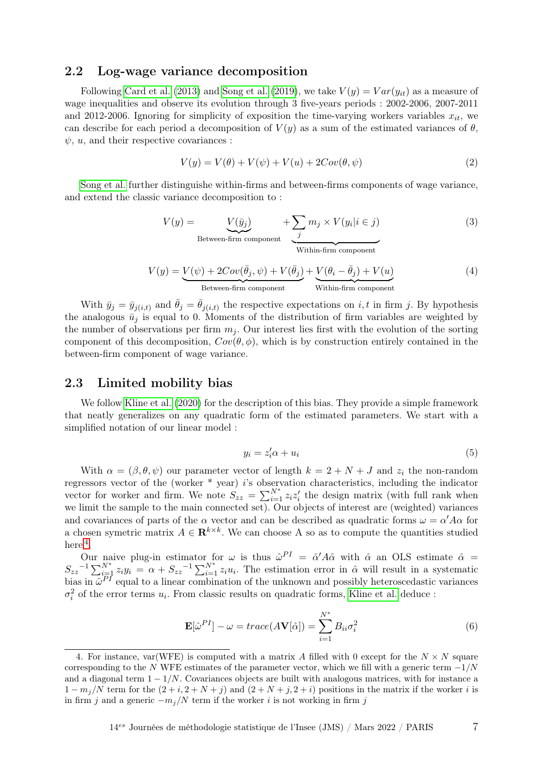### 2.2 Log-wage variance decomposition

Following [Card et al.](#page-15-0) [\(2013\)](#page-15-0) and [Song et al.](#page-16-0) [\(2019\)](#page-16-0), we take  $V(y) = Var(y_{it})$  as a measure of wage inequalities and observe its evolution through 3 five-years periods : 2002-2006, 2007-2011 and 2012-2006. Ignoring for simplicity of exposition the time-varying workers variables  $x_{it}$ , we can describe for each period a decomposition of  $V(y)$  as a sum of the estimated variances of  $\theta$ ,  $\psi$ , u, and their respective covariances :

<span id="page-6-1"></span>
$$
V(y) = V(\theta) + V(\psi) + V(u) + 2Cov(\theta, \psi)
$$
\n<sup>(2)</sup>

[Song et al.](#page-16-0) further distinguishe within-firms and between-firms components of wage variance, and extend the classic variance decomposition to :

<span id="page-6-2"></span>
$$
V(y) = \underbrace{V(\bar{y}_j)}_{\text{Between-firm component}} + \underbrace{\sum_{j} m_j \times V(y_i | i \in j)}_{\text{Within-firm component}}
$$
(3)  

$$
V(y) = \underbrace{V(\psi) + 2Cov(\bar{\theta}_j, \psi) + V(\bar{\theta}_j)}_{\text{Between-firm component}} + \underbrace{V(\theta_i - \bar{\theta}_j) + V(u)}_{\text{Without}}
$$
(4)

With  $\bar{y}_j = \bar{y}_{j(i,t)}$  and  $\bar{\theta}_j = \bar{\theta}_{j(i,t)}$  the respective expectations on i, t in firm j. By hypothesis the analogous  $\bar{u}_j$  is equal to 0. Moments of the distribution of firm variables are weighted by the number of observations per firm  $m_i$ . Our interest lies first with the evolution of the sorting component of this decomposition,  $Cov(\theta, \phi)$ , which is by construction entirely contained in the between-firm component of wage variance.

### 2.3 Limited mobility bias

We follow [Kline et al.](#page-16-4) [\(2020\)](#page-16-4) for the description of this bias. They provide a simple framework that neatly generalizes on any quadratic form of the estimated parameters. We start with a simplified notation of our linear model :

$$
y_i = z_i' \alpha + u_i \tag{5}
$$

With  $\alpha = (\beta, \theta, \psi)$  our parameter vector of length  $k = 2 + N + J$  and  $z_i$  the non-random regressors vector of the (worker \* year) i's observation characteristics, including the indicator vector for worker and firm. We note  $S_{zz} = \sum_{i=1}^{N^*} z_i z_i'$  the design matrix (with full rank when we limit the sample to the main connected set). Our objects of interest are (weighted) variances and covariances of parts of the  $\alpha$  vector and can be described as quadratic forms  $\omega = \alpha' A \alpha$  for a chosen symetric matrix  $A \in \mathbf{R}^{k \times k}$ . We can choose A so as to compute the quantities studied here  $4$ .

Our naive plug-in estimator for  $\omega$  is thus  $\hat{\omega}^{PI} = \hat{\alpha}' A \hat{\alpha}$  with  $\hat{\alpha}$  an OLS estimate  $\hat{\alpha}$  =  $S_{zz}^{-1} \sum_{i=1}^{N^*} z_i y_i = \alpha + S_{zz}^{-1} \sum_{i=1}^{N^*} z_i u_i$ . The estimation error in  $\hat{\alpha}$  will result in a systematic bias in  $\hat{\omega}^{PI}$  equal to a linear combination of the unknown and possibly heteroscedastic variances  $\sigma_i^2$  of the error terms  $u_i$ . From classic results on quadratic forms, [Kline et al.](#page-16-4) deduce :

$$
\mathbf{E}[\hat{\omega}^{PI}] - \omega = trace(A\mathbf{V}[\hat{\alpha}]) = \sum_{i=1}^{N^*} B_{ii} \sigma_i^2
$$
 (6)

<span id="page-6-0"></span><sup>4.</sup> For instance, var(WFE) is computed with a matrix A filled with 0 except for the  $N \times N$  square corresponding to the N WFE estimates of the parameter vector, which we fill with a generic term  $-1/N$ and a diagonal term  $1 - 1/N$ . Covariances objects are built with analogous matrices, with for instance a  $1 - m_j/N$  term for the  $(2 + i, 2 + N + j)$  and  $(2 + N + j, 2 + i)$  positions in the matrix if the worker i is in firm j and a generic  $-m_j/N$  term if the worker i is not working in firm j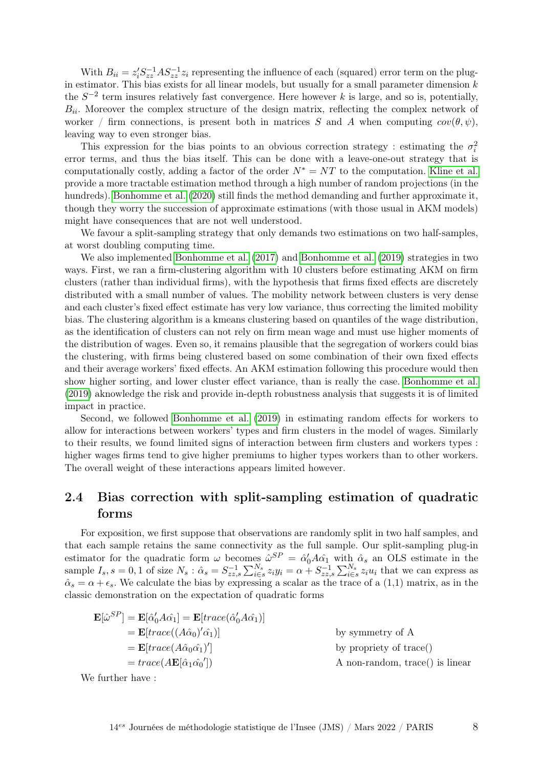With  $B_{ii} = z_i' S_{zz}^{-1} A S_{zz}^{-1} z_i$  representing the influence of each (squared) error term on the plugin estimator. This bias exists for all linear models, but usually for a small parameter dimension  $k$ the  $S^{-2}$  term insures relatively fast convergence. Here however k is large, and so is, potentially,  $B_{ii}$ . Moreover the complex structure of the design matrix, reflecting the complex network of worker / firm connections, is present both in matrices S and A when computing  $cov(\theta, \psi)$ , leaving way to even stronger bias.

This expression for the bias points to an obvious correction strategy : estimating the  $\sigma_i^2$ error terms, and thus the bias itself. This can be done with a leave-one-out strategy that is computationally costly, adding a factor of the order  $N^* = NT$  to the computation. [Kline et al.](#page-16-4) provide a more tractable estimation method through a high number of random projections (in the hundreds). [Bonhomme et al.](#page-15-6) [\(2020\)](#page-15-6) still finds the method demanding and further approximate it, though they worry the succession of approximate estimations (with those usual in AKM models) might have consequences that are not well understood.

We favour a split-sampling strategy that only demands two estimations on two half-samples, at worst doubling computing time.

We also implemented [Bonhomme et al.](#page-15-11) [\(2017\)](#page-15-11) and [Bonhomme et al.](#page-15-2) [\(2019\)](#page-15-2) strategies in two ways. First, we ran a firm-clustering algorithm with 10 clusters before estimating AKM on firm clusters (rather than individual firms), with the hypothesis that firms fixed effects are discretely distributed with a small number of values. The mobility network between clusters is very dense and each cluster's fixed effect estimate has very low variance, thus correcting the limited mobility bias. The clustering algorithm is a kmeans clustering based on quantiles of the wage distribution, as the identification of clusters can not rely on firm mean wage and must use higher moments of the distribution of wages. Even so, it remains plausible that the segregation of workers could bias the clustering, with firms being clustered based on some combination of their own fixed effects and their average workers' fixed effects. An AKM estimation following this procedure would then show higher sorting, and lower cluster effect variance, than is really the case. [Bonhomme et al.](#page-15-2) [\(2019\)](#page-15-2) aknowledge the risk and provide in-depth robustness analysis that suggests it is of limited impact in practice.

Second, we followed [Bonhomme et al.](#page-15-2) [\(2019\)](#page-15-2) in estimating random effects for workers to allow for interactions between workers' types and firm clusters in the model of wages. Similarly to their results, we found limited signs of interaction between firm clusters and workers types : higher wages firms tend to give higher premiums to higher types workers than to other workers. The overall weight of these interactions appears limited however.

## 2.4 Bias correction with split-sampling estimation of quadratic forms

For exposition, we first suppose that observations are randomly split in two half samples, and that each sample retains the same connectivity as the full sample. Our split-sampling plug-in estimator for the quadratic form  $\omega$  becomes  $\hat{\omega}^{SP} = \hat{\alpha}'_0 A \hat{\alpha}_1$  with  $\hat{\alpha}_s$  an OLS estimate in the sample  $I_s$ ,  $s = 0, 1$  of size  $N_s$ :  $\hat{\alpha}_s = S_{zz,s}^{-1} \sum_{i \in s}^{N_s} z_i y_i = \alpha + S_{zz,s}^{-1} \sum_{i \in s}^{N_s} z_i u_i$  that we can express as  $\hat{\alpha}_s = \alpha + \epsilon_s$ . We calculate the bias by expressing a scalar as the trace of a (1,1) matrix, as in the classic demonstration on the expectation of quadratic forms

$$
\mathbf{E}[\hat{\omega}^{SP}] = \mathbf{E}[\hat{\alpha}'_0 A \hat{\alpha}_1] = \mathbf{E}[trace(\hat{\alpha}'_0 A \hat{\alpha}_1)]
$$
  
\n
$$
= \mathbf{E}[trace((A\hat{\alpha}_0)'\hat{\alpha}_1)]
$$
by symmetry of A  
\n
$$
= \mathbf{E}[trace(A\hat{\alpha}_0\hat{\alpha}_1)']
$$
by property of trace()  
\n
$$
= trace(A\mathbf{E}[\hat{\alpha}_1\hat{\alpha}_0'])
$$

We further have :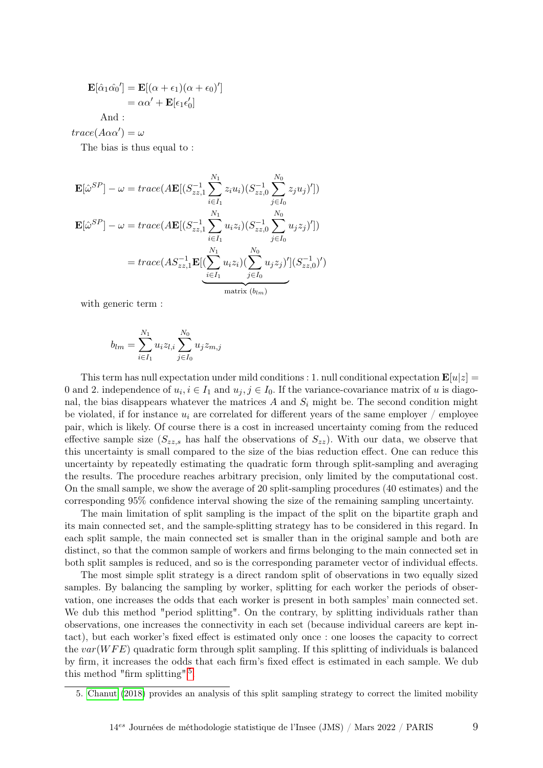$$
\mathbf{E}[\hat{\alpha}_1 \hat{\alpha_0}'] = \mathbf{E}[(\alpha + \epsilon_1)(\alpha + \epsilon_0)']
$$
  
=  $\alpha \alpha' + \mathbf{E}[\epsilon_1 \epsilon'_0]$ 

And :

 $trace(A\alpha\alpha')=\omega$ 

The bias is thus equal to :

$$
\mathbf{E}[\hat{\omega}^{SP}] - \omega = trace(A\mathbf{E}[(S_{zz,1}^{-1}\sum_{i \in I_1}^{N_1} z_i u_i)(S_{zz,0}^{-1}\sum_{j \in I_0}^{N_0} z_j u_j)'])
$$
  

$$
\mathbf{E}[\hat{\omega}^{SP}] - \omega = trace(A\mathbf{E}[(S_{zz,1}^{-1}\sum_{i \in I_1}^{N_1} u_i z_i)(S_{zz,0}^{-1}\sum_{j \in I_0}^{N_0} u_j z_j)'])
$$
  

$$
= trace(AS_{zz,1}^{-1}\mathbf{E}[(\sum_{i \in I_1}^{N_1} u_i z_i)(\sum_{j \in I_0}^{N_0} u_j z_j)'](S_{zz,0}^{-1})')
$$
  
matrix  $(b_{lm})$ 

with generic term :

$$
b_{lm} = \sum_{i \in I_1}^{N_1} u_i z_{l,i} \sum_{j \in I_0}^{N_0} u_j z_{m,j}
$$

This term has null expectation under mild conditions : 1. null conditional expectation  $\mathbf{E}[u|z] =$ 0 and 2. independence of  $u_i, i \in I_1$  and  $u_j, j \in I_0$ . If the variance-covariance matrix of u is diagonal, the bias disappears whatever the matrices A and  $S_i$  might be. The second condition might be violated, if for instance  $u_i$  are correlated for different years of the same employer / employee pair, which is likely. Of course there is a cost in increased uncertainty coming from the reduced effective sample size  $(S_{zz,s}$  has half the observations of  $S_{zz}$ ). With our data, we observe that this uncertainty is small compared to the size of the bias reduction effect. One can reduce this uncertainty by repeatedly estimating the quadratic form through split-sampling and averaging the results. The procedure reaches arbitrary precision, only limited by the computational cost. On the small sample, we show the average of 20 split-sampling procedures (40 estimates) and the corresponding 95% confidence interval showing the size of the remaining sampling uncertainty.

The main limitation of split sampling is the impact of the split on the bipartite graph and its main connected set, and the sample-splitting strategy has to be considered in this regard. In each split sample, the main connected set is smaller than in the original sample and both are distinct, so that the common sample of workers and firms belonging to the main connected set in both split samples is reduced, and so is the corresponding parameter vector of individual effects.

The most simple split strategy is a direct random split of observations in two equally sized samples. By balancing the sampling by worker, splitting for each worker the periods of observation, one increases the odds that each worker is present in both samples' main connected set. We dub this method "period splitting". On the contrary, by splitting individuals rather than observations, one increases the connectivity in each set (because individual careers are kept intact), but each worker's fixed effect is estimated only once : one looses the capacity to correct the  $var(WFE)$  quadratic form through split sampling. If this splitting of individuals is balanced by firm, it increases the odds that each firm's fixed effect is estimated in each sample. We dub this method "firm splitting"<sup>[5](#page-8-0)</sup>.

<span id="page-8-0"></span><sup>5.</sup> [Chanut](#page-15-8) [\(2018\)](#page-15-8) provides an analysis of this split sampling strategy to correct the limited mobility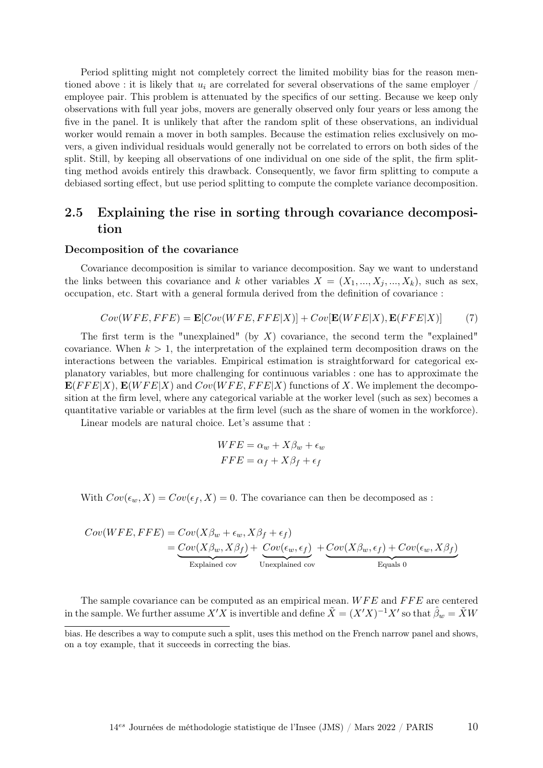Period splitting might not completely correct the limited mobility bias for the reason mentioned above : it is likely that  $u_i$  are correlated for several observations of the same employer / employee pair. This problem is attenuated by the specifics of our setting. Because we keep only observations with full year jobs, movers are generally observed only four years or less among the five in the panel. It is unlikely that after the random split of these observations, an individual worker would remain a mover in both samples. Because the estimation relies exclusively on movers, a given individual residuals would generally not be correlated to errors on both sides of the split. Still, by keeping all observations of one individual on one side of the split, the firm splitting method avoids entirely this drawback. Consequently, we favor firm splitting to compute a debiased sorting effect, but use period splitting to compute the complete variance decomposition.

## 2.5 Explaining the rise in sorting through covariance decomposition

#### Decomposition of the covariance

Covariance decomposition is similar to variance decomposition. Say we want to understand the links between this covariance and k other variables  $X = (X_1, ..., X_j, ..., X_k)$ , such as sex, occupation, etc. Start with a general formula derived from the definition of covariance :

$$
Cov(WFE, FFE) = \mathbf{E}[Cov(WFE, FFE|X)] + Cov[\mathbf{E}(WFE|X), \mathbf{E}(FFE|X)] \tag{7}
$$

The first term is the "unexplained" (by  $X$ ) covariance, the second term the "explained" covariance. When  $k > 1$ , the interpretation of the explained term decomposition draws on the interactions between the variables. Empirical estimation is straightforward for categorical explanatory variables, but more challenging for continuous variables : one has to approximate the  $\mathbf{E}(FFE|X)$ ,  $\mathbf{E}(WFE|X)$  and  $Cov(WFE, FFE|X)$  functions of X. We implement the decomposition at the firm level, where any categorical variable at the worker level (such as sex) becomes a quantitative variable or variables at the firm level (such as the share of women in the workforce).

Linear models are natural choice. Let's assume that :

$$
WFE = \alpha_w + X\beta_w + \epsilon_w
$$
  
 
$$
FFE = \alpha_f + X\beta_f + \epsilon_f
$$

With  $Cov(\epsilon_w, X) = Cov(\epsilon_f, X) = 0$ . The covariance can then be decomposed as :

$$
Cov(WFE, FFE) = Cov(X\beta_w + \epsilon_w, X\beta_f + \epsilon_f)
$$
  
= 
$$
\underbrace{Cov(X\beta_w, X\beta_f)}_{\text{Explained cov}} + \underbrace{Cov(\epsilon_w, \epsilon_f)}_{\text{Unexplained cov}} + \underbrace{Cov(X\beta_w, \epsilon_f) + Cov(\epsilon_w, X\beta_f)}_{\text{Equals 0}}
$$

The sample covariance can be computed as an empirical mean.  $WFE$  and  $FFE$  are centered in the sample. We further assume  $X'X$  is invertible and define  $\tilde{X} = (X'X)^{-1}X'$  so that  $\hat{\beta}_w = \tilde{X}W$ 

bias. He describes a way to compute such a split, uses this method on the French narrow panel and shows, on a toy example, that it succeeds in correcting the bias.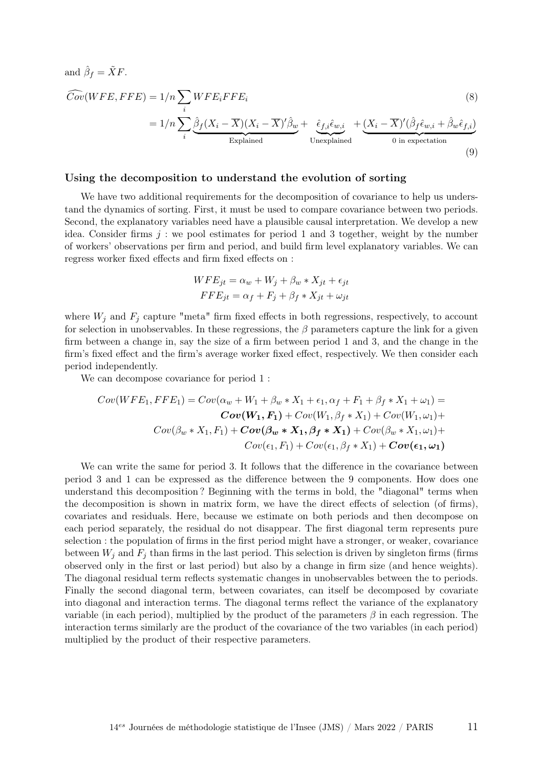and 
$$
\hat{\beta}_f = \tilde{X}F
$$
.  
\n
$$
\widehat{Cov}(WFE, FFE) = 1/n \sum_{i} WFE_i FFE_i
$$
\n
$$
= 1/n \sum_{i} \underbrace{\hat{\beta}_f (X_i - \overline{X})(X_i - \overline{X})' \hat{\beta}_w}_{\text{Explained}} + \underbrace{\hat{\epsilon}_{f,i} \hat{\epsilon}_{w,i}}_{\text{Unexplained}} + \underbrace{(X_i - \overline{X})' (\hat{\beta}_f \hat{\epsilon}_{w,i} + \hat{\beta}_w \hat{\epsilon}_{f,i})}_{\text{0 in expectation}}
$$
\n(8)

(9)

#### <span id="page-10-0"></span>Using the decomposition to understand the evolution of sorting

We have two additional requirements for the decomposition of covariance to help us understand the dynamics of sorting. First, it must be used to compare covariance between two periods. Second, the explanatory variables need have a plausible causal interpretation. We develop a new idea. Consider firms  $j$ : we pool estimates for period 1 and 3 together, weight by the number of workers' observations per firm and period, and build firm level explanatory variables. We can regress worker fixed effects and firm fixed effects on :

$$
WFE_{jt} = \alpha_w + W_j + \beta_w * X_{jt} + \epsilon_{jt}
$$
  
\n
$$
FFE_{jt} = \alpha_f + F_j + \beta_f * X_{jt} + \omega_{jt}
$$

where  $W_j$  and  $F_j$  capture "meta" firm fixed effects in both regressions, respectively, to account for selection in unobservables. In these regressions, the  $\beta$  parameters capture the link for a given firm between a change in, say the size of a firm between period 1 and 3, and the change in the firm's fixed effect and the firm's average worker fixed effect, respectively. We then consider each period independently.

We can decompose covariance for period 1:

$$
Cov(WFE_1, FFE_1) = Cov(\alpha_w + W_1 + \beta_w * X_1 + \epsilon_1, \alpha_f + F_1 + \beta_f * X_1 + \omega_1) =
$$
  

$$
Cov(W_1, F_1) + Cov(W_1, \beta_f * X_1) + Cov(W_1, \omega_1) +
$$
  

$$
Cov(\beta_w * X_1, F_1) + Cov(\beta_w * X_1, \beta_f * X_1) + Cov(\beta_w * X_1, \omega_1) +
$$
  

$$
Cov(\epsilon_1, F_1) + Cov(\epsilon_1, \beta_f * X_1) + Cov(\epsilon_1, \omega_1)
$$

We can write the same for period 3. It follows that the difference in the covariance between period 3 and 1 can be expressed as the difference between the 9 components. How does one understand this decomposition ? Beginning with the terms in bold, the "diagonal" terms when the decomposition is shown in matrix form, we have the direct effects of selection (of firms), covariates and residuals. Here, because we estimate on both periods and then decompose on each period separately, the residual do not disappear. The first diagonal term represents pure selection : the population of firms in the first period might have a stronger, or weaker, covariance between  $W_i$  and  $F_j$  than firms in the last period. This selection is driven by singleton firms (firms observed only in the first or last period) but also by a change in firm size (and hence weights). The diagonal residual term reflects systematic changes in unobservables between the to periods. Finally the second diagonal term, between covariates, can itself be decomposed by covariate into diagonal and interaction terms. The diagonal terms reflect the variance of the explanatory variable (in each period), multiplied by the product of the parameters  $\beta$  in each regression. The interaction terms similarly are the product of the covariance of the two variables (in each period) multiplied by the product of their respective parameters.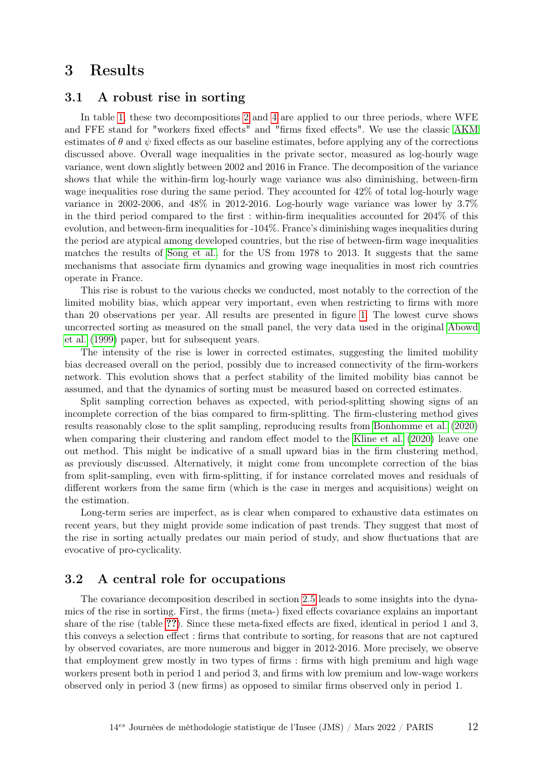# 3 Results

## 3.1 A robust rise in sorting

In table [1,](#page-12-0) these two decompositions [2](#page-6-1) and [4](#page-6-2) are applied to our three periods, where WFE and FFE stand for "workers fixed effects" and "firms fixed effects". We use the classic [AKM](#page-15-1) estimates of  $\theta$  and  $\psi$  fixed effects as our baseline estimates, before applying any of the corrections discussed above. Overall wage inequalities in the private sector, measured as log-hourly wage variance, went down slightly between 2002 and 2016 in France. The decomposition of the variance shows that while the within-firm log-hourly wage variance was also diminishing, between-firm wage inequalities rose during the same period. They accounted for 42% of total log-hourly wage variance in 2002-2006, and  $48\%$  in 2012-2016. Log-hourly wage variance was lower by  $3.7\%$ in the third period compared to the first : within-firm inequalities accounted for 204% of this evolution, and between-firm inequalities for -104%. France's diminishing wages inequalities during the period are atypical among developed countries, but the rise of between-firm wage inequalities matches the results of [Song et al..](#page-16-0) for the US from 1978 to 2013. It suggests that the same mechanisms that associate firm dynamics and growing wage inequalities in most rich countries operate in France.

This rise is robust to the various checks we conducted, most notably to the correction of the limited mobility bias, which appear very important, even when restricting to firms with more than 20 observations per year. All results are presented in figure [1.](#page-13-0) The lowest curve shows uncorrected sorting as measured on the small panel, the very data used in the original [Abowd](#page-15-1) [et al.](#page-15-1) [\(1999\)](#page-15-1) paper, but for subsequent years.

The intensity of the rise is lower in corrected estimates, suggesting the limited mobility bias decreased overall on the period, possibly due to increased connectivity of the firm-workers network. This evolution shows that a perfect stability of the limited mobility bias cannot be assumed, and that the dynamics of sorting must be measured based on corrected estimates.

Split sampling correction behaves as expected, with period-splitting showing signs of an incomplete correction of the bias compared to firm-splitting. The firm-clustering method gives results reasonably close to the split sampling, reproducing results from [Bonhomme et al.](#page-15-6) [\(2020\)](#page-15-6) when comparing their clustering and random effect model to the [Kline et al.](#page-16-4) [\(2020\)](#page-16-4) leave one out method. This might be indicative of a small upward bias in the firm clustering method, as previously discussed. Alternatively, it might come from uncomplete correction of the bias from split-sampling, even with firm-splitting, if for instance correlated moves and residuals of different workers from the same firm (which is the case in merges and acquisitions) weight on the estimation.

Long-term series are imperfect, as is clear when compared to exhaustive data estimates on recent years, but they might provide some indication of past trends. They suggest that most of the rise in sorting actually predates our main period of study, and show fluctuations that are evocative of pro-cyclicality.

## 3.2 A central role for occupations

The covariance decomposition described in section [2.5](#page-10-0) leads to some insights into the dynamics of the rise in sorting. First, the firms (meta-) fixed effects covariance explains an important share of the rise (table [??](#page-13-1)). Since these meta-fixed effects are fixed, identical in period 1 and 3, this conveys a selection effect : firms that contribute to sorting, for reasons that are not captured by observed covariates, are more numerous and bigger in 2012-2016. More precisely, we observe that employment grew mostly in two types of firms : firms with high premium and high wage workers present both in period 1 and period 3, and firms with low premium and low-wage workers observed only in period 3 (new firms) as opposed to similar firms observed only in period 1.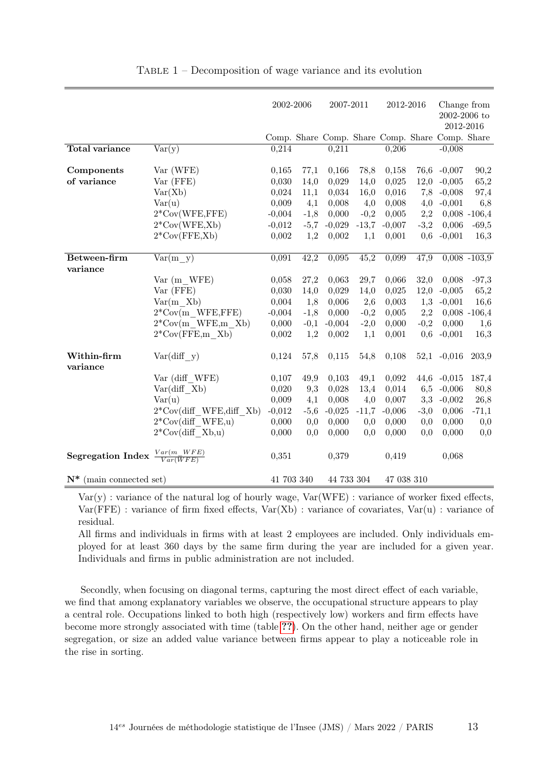<span id="page-12-0"></span>

|                            |                                | 2002-2006  |        | 2007-2011  |         | 2012-2016                                       |        | Change from               |                 |
|----------------------------|--------------------------------|------------|--------|------------|---------|-------------------------------------------------|--------|---------------------------|-----------------|
|                            |                                |            |        |            |         |                                                 |        | 2002-2006 to<br>2012-2016 |                 |
|                            |                                |            |        |            |         | Comp. Share Comp. Share Comp. Share Comp. Share |        |                           |                 |
| <b>Total variance</b>      | Var(y)                         | 0,214      |        | 0,211      |         | 0,206                                           |        | $-0,008$                  |                 |
|                            |                                |            |        |            |         |                                                 |        |                           |                 |
| Components                 | Var (WFE)                      | 0,165      | 77,1   | 0,166      | 78,8    | 0,158                                           |        | 76,6 -0,007               | 90,2            |
| of variance                | Var (FFE)                      | 0,030      | 14,0   | 0,029      | 14,0    | 0,025                                           | 12,0   | $-0,005$                  | 65,2            |
|                            | Var(Xb)                        | 0,024      | 11,1   | 0,034      | 16,0    | 0,016                                           | 7,8    | $-0,008$                  | 97,4            |
|                            | Var(u)                         | 0,009      | 4,1    | 0,008      | 4,0     | 0,008                                           | 4,0    | $-0,001$                  | 6,8             |
|                            | $2*Cov(WFE, FFE)$              | $-0,004$   | $-1,8$ | 0,000      | $-0,2$  | 0,005                                           | 2,2    |                           | $0,008 - 106,4$ |
|                            | $2*Cov(WFE,Xb)$                | $-0,012$   | $-5,7$ | $-0,029$   | $-13,7$ | $-0,007$                                        | $-3,2$ | 0,006                     | $-69,5$         |
|                            | $2*Cov(FFE,Xb)$                | 0,002      | 1,2    | 0,002      | 1,1     | 0,001                                           | 0,6    | $-0,001$                  | 16,3            |
|                            |                                |            |        |            |         |                                                 |        |                           |                 |
| Between-firm               | $Var(m \ y)$                   | 0,091      | 42,2   | 0,095      | 45,2    | 0,099                                           | 47,9   |                           | $0,008 - 103,9$ |
| variance                   |                                |            |        |            |         |                                                 |        |                           |                 |
|                            | Var (m WFE)                    | 0,058      | 27,2   | 0,063      | 29,7    | 0,066                                           | 32,0   | 0,008                     | $-97,3$         |
|                            | Var (FFE)                      | 0,030      | 14,0   | 0,029      | 14,0    | 0,025                                           | 12,0   | $-0,005$                  | 65,2            |
|                            | Var(m Xb)                      | 0,004      | 1,8    | 0,006      | 2,6     | 0,003                                           | 1,3    | $-0,001$                  | 16,6            |
|                            | $2^*Cov(m$ WFE, FFE)           | $-0,004$   | $-1,8$ | 0,000      | $-0,2$  | 0,005                                           | 2,2    |                           | $0,008 - 106,4$ |
|                            | $2^*$ Cov(m WFE, m Xb)         | 0,000      | $-0,1$ | $-0,004$   | $-2,0$  | 0,000                                           | $-0,2$ | 0,000                     | 1,6             |
|                            | $2*Cov(FFE,m Xb)$              | 0,002      | 1,2    | 0,002      | 1,1     | 0,001                                           | 0,6    | $-0,001$                  | 16,3            |
| Within-firm                | Var(diff y)                    | 0,124      | 57,8   | 0,115      | 54,8    | 0,108                                           | 52,1   | $-0,016$                  | 203,9           |
| variance                   |                                |            |        |            |         |                                                 |        |                           |                 |
|                            | Var (diff WFE)                 | 0,107      | 49,9   | 0,103      | 49,1    | 0,092                                           |        | 44,6 -0,015               | 187,4           |
|                            | Var(diff Xb)                   | 0,020      | 9,3    | 0,028      | 13,4    | 0,014                                           | 6,5    | $-0,006$                  | 80,8            |
|                            | Var(u)                         | 0,009      | 4,1    | 0,008      | 4,0     | 0,007                                           | 3,3    | $-0,002$                  | 26,8            |
|                            | $2^*$ Cov(diff WFE,diff Xb)    | $-0,012$   | $-5,6$ | $-0,025$   | $-11,7$ | $-0,006$                                        | $-3,0$ | 0,006                     | $-71,1$         |
|                            | $2^*Cov$ (diff WFE,u)          | 0,000      | 0,0    | 0,000      | 0,0     | 0,000                                           | 0,0    | 0,000                     | 0,0             |
|                            | $2^*Cov$ (diff Xb,u)           | 0,000      | 0,0    | 0,000      | 0,0     | 0,000                                           | 0,0    | 0,000                     | 0,0             |
| <b>Segregation Index</b>   | $\frac{Var(m\ WFE)}{Var(WFE)}$ | 0,351      |        | 0,379      |         | 0,419                                           |        | 0,068                     |                 |
| $N^*$ (main connected set) |                                | 41 703 340 |        | 44 733 304 |         | 47 038 310                                      |        |                           |                 |

TABLE  $1$  – Decomposition of wage variance and its evolution

 $Var(y)$ : variance of the natural log of hourly wage,  $Var(WFE)$ : variance of worker fixed effects,  $Var(FE)$ : variance of firm fixed effects,  $Var(Xb)$ : variance of covariates,  $Var(u)$ : variance of residual.

All firms and individuals in firms with at least 2 employees are included. Only individuals employed for at least 360 days by the same firm during the year are included for a given year. Individuals and firms in public administration are not included.

Secondly, when focusing on diagonal terms, capturing the most direct effect of each variable, we find that among explanatory variables we observe, the occupational structure appears to play a central role. Occupations linked to both high (respectively low) workers and firm effects have become more strongly associated with time (table [??](#page-13-1)). On the other hand, neither age or gender segregation, or size an added value variance between firms appear to play a noticeable role in the rise in sorting.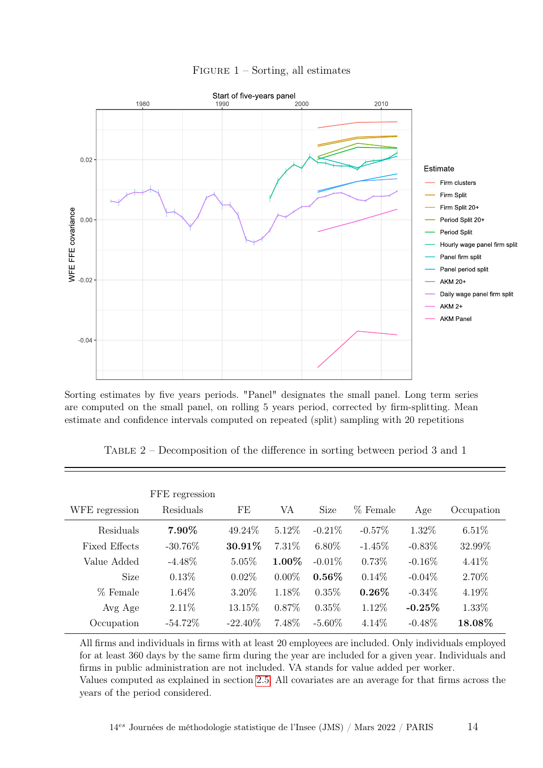<span id="page-13-0"></span>

## FIGURE  $1$  – Sorting, all estimates

Sorting estimates by five years periods. "Panel" designates the small panel. Long term series are computed on the small panel, on rolling 5 years period, corrected by firm-splitting. Mean estimate and confidence intervals computed on repeated (split) sampling with 20 repetitions

<span id="page-13-1"></span>

| TABLE $2$ – Decomposition of the difference in sorting between period 3 and 1 |  |  |  |  |
|-------------------------------------------------------------------------------|--|--|--|--|
|                                                                               |  |  |  |  |
|                                                                               |  |  |  |  |
|                                                                               |  |  |  |  |

| WFE regression       | FFE regression<br>Residuals | FE         | VA       | Size      | % Female  | Age       | Occupation |
|----------------------|-----------------------------|------------|----------|-----------|-----------|-----------|------------|
| Residuals            | 7.90%                       | 49.24\%    | 5.12%    | $-0.21\%$ | $-0.57\%$ | 1.32\%    | $6.51\%$   |
| <b>Fixed Effects</b> | $-30.76\%$                  | 30.91%     | 7.31\%   | $6.80\%$  | $-1.45\%$ | $-0.83\%$ | 32.99%     |
| Value Added          | $-4.48\%$                   | $5.05\%$   | 1.00%    | $-0.01\%$ | 0.73%     | $-0.16\%$ | $4.41\%$   |
| <b>Size</b>          | 0.13%                       | $0.02\%$   | $0.00\%$ | $0.56\%$  | $0.14\%$  | $-0.04\%$ | 2.70%      |
| % Female             | 1.64%                       | 3.20%      | 1.18%    | $0.35\%$  | $0.26\%$  | $-0.34\%$ | 4.19%      |
| Avg Age              | $2.11\%$                    | 13.15%     | $0.87\%$ | $0.35\%$  | 1.12%     | $-0.25%$  | 1.33%      |
| Occupation           | $-54.72\%$                  | $-22.40\%$ | 7.48%    | $-5.60\%$ | 4.14%     | $-0.48\%$ | 18.08%     |

All firms and individuals in firms with at least 20 employees are included. Only individuals employed for at least 360 days by the same firm during the year are included for a given year. Individuals and firms in public administration are not included. VA stands for value added per worker. Values computed as explained in section [2.5.](#page-10-0) All covariates are an average for that firms across the years of the period considered.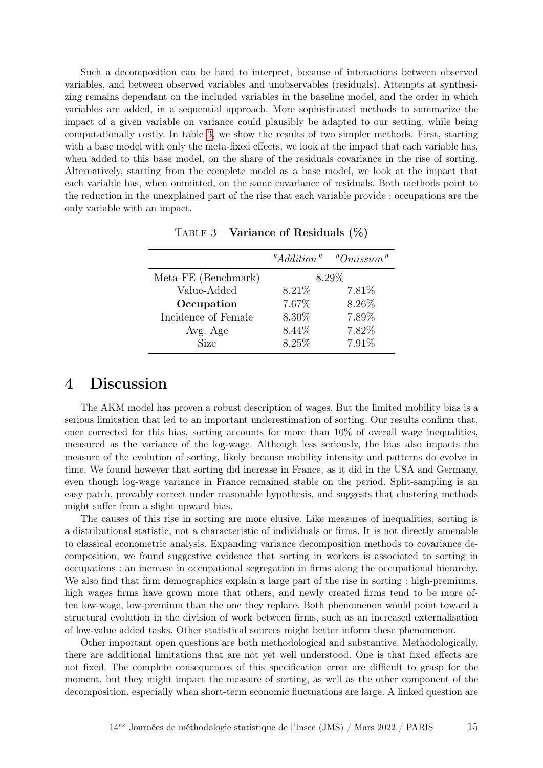Such a decomposition can be hard to interpret, because of interactions between observed variables, and between observed variables and unobservables (residuals). Attempts at synthesizing remains dependant on the included variables in the baseline model, and the order in which variables are added, in a sequential approach. More sophisticated methods to summarize the impact of a given variable on variance could plausibly be adapted to our setting, while being computationally costly. In table [3,](#page-14-0) we show the results of two simpler methods. First, starting with a base model with only the meta-fixed effects, we look at the impact that each variable has, when added to this base model, on the share of the residuals covariance in the rise of sorting. Alternatively, starting from the complete model as a base model, we look at the impact that each variable has, when ommitted, on the same covariance of residuals. Both methods point to the reduction in the unexplained part of the rise that each variable provide : occupations are the only variable with an impact.

<span id="page-14-0"></span>

|                     | "Addition" | "Omission" |
|---------------------|------------|------------|
| Meta-FE (Benchmark) | 8.29%      |            |
| Value-Added         | $8.21\%$   | $7.81\%$   |
| Occupation          | 7.67%      | 8.26\%     |
| Incidence of Female | 8.30%      | 7.89%      |
| Avg. Age            | $8.44\%$   | 7.82%      |
| <b>Size</b>         | 8.25%      | 7.91%      |

TABLE  $3$  – Variance of Residuals  $(\%)$ 

# 4 Discussion

The AKM model has proven a robust description of wages. But the limited mobility bias is a serious limitation that led to an important underestimation of sorting. Our results confirm that, once corrected for this bias, sorting accounts for more than  $10\%$  of overall wage inequalities, measured as the variance of the log-wage. Although less seriously, the bias also impacts the measure of the evolution of sorting, likely because mobility intensity and patterns do evolve in time. We found however that sorting did increase in France, as it did in the USA and Germany, even though log-wage variance in France remained stable on the period. Split-sampling is an easy patch, provably correct under reasonable hypothesis, and suggests that clustering methods might suffer from a slight upward bias.

The causes of this rise in sorting are more elusive. Like measures of inequalities, sorting is a distributional statistic, not a characteristic of individuals or firms. It is not directly amenable to classical econometric analysis. Expanding variance decomposition methods to covariance decomposition, we found suggestive evidence that sorting in workers is associated to sorting in occupations : an increase in occupational segregation in firms along the occupational hierarchy. We also find that firm demographics explain a large part of the rise in sorting : high-premiums, high wages firms have grown more that others, and newly created firms tend to be more often low-wage, low-premium than the one they replace. Both phenomenon would point toward a structural evolution in the division of work between firms, such as an increased externalisation of low-value added tasks. Other statistical sources might better inform these phenomenon.

Other important open questions are both methodological and substantive. Methodologically, there are additional limitations that are not yet well understood. One is that fixed effects are not fixed. The complete consequences of this specification error are difficult to grasp for the moment, but they might impact the measure of sorting, as well as the other component of the decomposition, especially when short-term economic fluctuations are large. A linked question are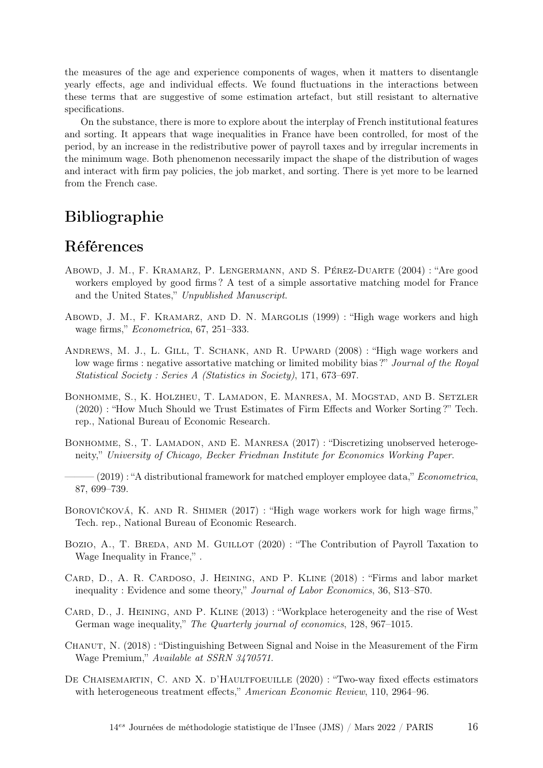the measures of the age and experience components of wages, when it matters to disentangle yearly effects, age and individual effects. We found fluctuations in the interactions between these terms that are suggestive of some estimation artefact, but still resistant to alternative specifications.

On the substance, there is more to explore about the interplay of French institutional features and sorting. It appears that wage inequalities in France have been controlled, for most of the period, by an increase in the redistributive power of payroll taxes and by irregular increments in the minimum wage. Both phenomenon necessarily impact the shape of the distribution of wages and interact with firm pay policies, the job market, and sorting. There is yet more to be learned from the French case.

# Bibliographie

# Références

- <span id="page-15-4"></span>Abowd, J. M., F. Kramarz, P. Lengermann, and S. Pérez-Duarte (2004) : "Are good workers employed by good firms ? A test of a simple assortative matching model for France and the United States," Unpublished Manuscript.
- <span id="page-15-1"></span>Abowd, J. M., F. Kramarz, and D. N. Margolis (1999) : "High wage workers and high wage firms," Econometrica, 67, 251–333.
- <span id="page-15-5"></span>Andrews, M. J., L. Gill, T. Schank, and R. Upward (2008) : "High wage workers and low wage firms : negative assortative matching or limited mobility bias?" Journal of the Royal Statistical Society : Series A (Statistics in Society), 171, 673–697.
- <span id="page-15-6"></span>Bonhomme, S., K. Holzheu, T. Lamadon, E. Manresa, M. Mogstad, and B. Setzler (2020) : "How Much Should we Trust Estimates of Firm Effects and Worker Sorting ?" Tech. rep., National Bureau of Economic Research.
- <span id="page-15-11"></span>BONHOMME, S., T. LAMADON, AND E. MANRESA (2017) : "Discretizing unobserved heterogeneity," University of Chicago, Becker Friedman Institute for Economics Working Paper.
- <span id="page-15-2"></span> $-(2019)$ : "A distributional framework for matched employer employee data," *Econometrica*, 87, 699–739.
- <span id="page-15-7"></span>Borovičková, K. and R. Shimer (2017) : "High wage workers work for high wage firms," Tech. rep., National Bureau of Economic Research.
- <span id="page-15-3"></span>BOZIO, A., T. BREDA, AND M. GUILLOT (2020) : "The Contribution of Payroll Taxation to Wage Inequality in France," .
- <span id="page-15-10"></span>Card, D., A. R. Cardoso, J. Heining, and P. Kline (2018) : "Firms and labor market inequality : Evidence and some theory," Journal of Labor Economics, 36, S13–S70.
- <span id="page-15-0"></span>CARD, D., J. HEINING, AND P. KLINE (2013) : "Workplace heterogeneity and the rise of West German wage inequality," The Quarterly journal of economics, 128, 967–1015.
- <span id="page-15-8"></span>CHANUT, N. (2018) : "Distinguishing Between Signal and Noise in the Measurement of the Firm Wage Premium," Available at SSRN 3470571.
- <span id="page-15-9"></span>DE CHAISEMARTIN, C. AND X. D'HAULTFOEUILLE (2020) : "Two-way fixed effects estimators with heterogeneous treatment effects," American Economic Review, 110, 2964–96.